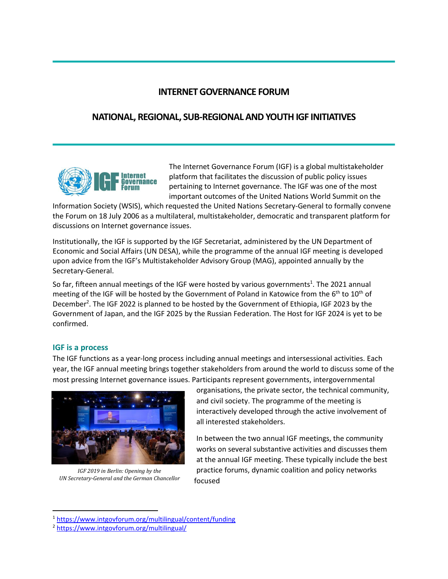# **INTERNET GOVERNANCE FORUM**

# **NATIONAL, REGIONAL, SUB-REGIONAL AND YOUTH IGF INITIATIVES**



The Internet Governance Forum (IGF) is a global multistakeholder platform that facilitates the discussion of public policy issues pertaining to Internet governance. The IGF was one of the most important outcomes of the United Nations World Summit on the

Information Society (WSIS), which requested the United Nations Secretary-General to formally convene the Forum on 18 July 2006 as a multilateral, multistakeholder, democratic and transparent platform for discussions on Internet governance issues.

Institutionally, the IGF is supported by the IGF Secretariat, administered by the UN Department of Economic and Social Affairs (UN DESA), while the programme of the annual IGF meeting is developed upon advice from the IGF's Multistakeholder Advisory Group (MAG), appointed annually by the Secretary-General.

So far, fifteen annual meetings of the IGF were hosted by various governments<sup>1</sup>. The 2021 annual meeting of the IGF will be hosted by the Government of Poland in Katowice from the 6<sup>th</sup> to 10<sup>th</sup> of December<sup>2</sup>. The IGF 2022 is planned to be hosted by the Government of Ethiopia, IGF 2023 by the Government of Japan, and the IGF 2025 by the Russian Federation. The Host for IGF 2024 is yet to be confirmed.

### **IGF is a process**

The IGF functions as a year-long process including annual meetings and intersessional activities. Each year, the IGF annual meeting brings together stakeholders from around the world to discuss some of the most pressing Internet governance issues. Participants represent governments, intergovernmental



*IGF 2019 in Berlin: Opening by the UN Secretary-General and the German Chancellor*

organisations, the private sector, the technical community, and civil society. The programme of the meeting is interactively developed through the active involvement of all interested stakeholders.

In between the two annual IGF meetings, the community works on several substantive activities and discusses them at the annual IGF meeting. These typically include the best practice forums, dynamic coalition and policy networks focused

<sup>1</sup> <https://www.intgovforum.org/multilingual/content/funding>

<sup>2</sup> <https://www.intgovforum.org/multilingual/>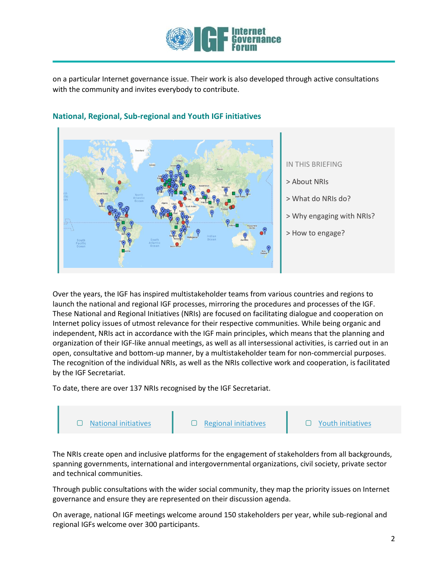

on a particular Internet governance issue. Their work is also developed through active consultations with the community and invites everybody to contribute.



## **National, Regional, Sub-regional and Youth IGF initiatives**

IN THIS BRIEFING

- > About NRIs
- > What do NRIs do?
- > Why engaging with NRIs?
- > How to engage?

Over the years, the IGF has inspired multistakeholder teams from various countries and regions to launch the national and regional IGF processes, mirroring the procedures and processes of the IGF. These National and Regional Initiatives (NRIs) are focused on facilitating dialogue and cooperation on Internet policy issues of utmost relevance for their respective communities. While being organic and independent, NRIs act in accordance with the IGF main principles, which means that the planning and organization of their IGF-like annual meetings, as well as all intersessional activities, is carried out in an open, consultative and bottom-up manner, by a multistakeholder team for non-commercial purposes. The recognition of the individual NRIs, as well as the NRIs collective work and cooperation, is facilitated by the IGF Secretariat.

To date, there are over 137 NRIs recognised by the IGF Secretariat.



The NRIs create open and inclusive platforms for the engagement of stakeholders from all backgrounds, spanning governments, international and intergovernmental organizations, civil society, private sector and technical communities.

Through public consultations with the wider social community, they map the priority issues on Internet governance and ensure they are represented on their discussion agenda.

On average, national IGF meetings welcome around 150 stakeholders per year, while sub-regional and regional IGFs welcome over 300 participants.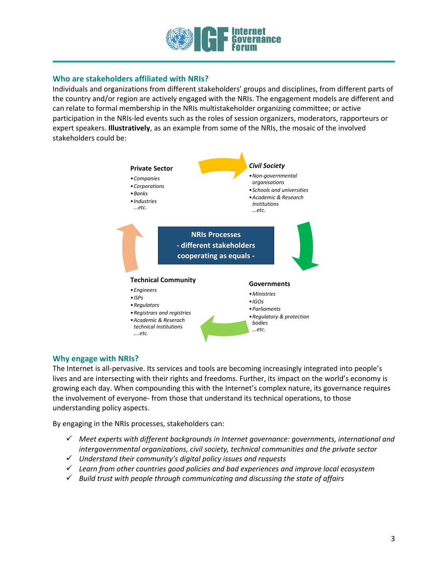

### **Who are stakeholders affiliated with NRIs?**

Individuals and organizations from different stakeholders' groups and disciplines, from different parts of the country and/or region are actively engaged with the NRIs. The engagement models are different and can relate to formal membership in the NRIs multistakeholder organizing committee; or active participation in the NRIs-led events such as the roles of session organizers, moderators, rapporteurs or expert speakers. **Illustratively**, as an example from some of the NRIs, the mosaic of the involved stakeholders could be:



### **Why engage with NRIs?**

The Internet is all-pervasive. Its services and tools are becoming increasingly integrated into people's lives and are intersecting with their rights and freedoms. Further, its impact on the world's economy is growing each day. When compounding this with the Internet's complex nature, its governance requires the involvement of everyone- from those that understand its technical operations, to those understanding policy aspects.

By engaging in the NRIs processes, stakeholders can:

- ✓ *Meet experts with different backgrounds in Internet governance: governments, international and intergovernmental organizations, civil society, technical communities and the private sector*
- ✓ *Understand their community's digital policy issues and requests*
- ✓ *Learn from other countries good policies and bad experiences and improve local ecosystem*
- ✓ *Build trust with people through communicating and discussing the state of affairs*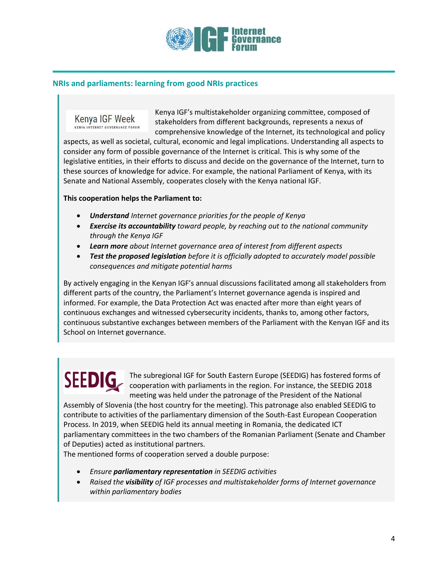

### **NRIs and parliaments: learning from good NRIs practices**

Kenya IGF Week KENYA INTERNET GOVERNANCE FORUM

Kenya IGF's multistakeholder organizing committee, composed of stakeholders from different backgrounds, represents a nexus of comprehensive knowledge of the Internet, its technological and policy

aspects, as well as societal, cultural, economic and legal implications. Understanding all aspects to consider any form of possible governance of the Internet is critical. This is why some of the legislative entities, in their efforts to discuss and decide on the governance of the Internet, turn to these sources of knowledge for advice. For example, the national Parliament of Kenya, with its Senate and National Assembly, cooperates closely with the Kenya national IGF.

#### **This cooperation helps the Parliament to:**

- *Understand Internet governance priorities for the people of Kenya*
- *Exercise its accountability toward people, by reaching out to the national community through the Kenya IGF*
- *Learn more about Internet governance area of interest from different aspects*
- *Test the proposed legislation before it is officially adopted to accurately model possible consequences and mitigate potential harms*

By actively engaging in the Kenyan IGF's annual discussions facilitated among all stakeholders from different parts of the country, the Parliament's Internet governance agenda is inspired and informed. For example, the Data Protection Act was enacted after more than eight years of continuous exchanges and witnessed cybersecurity incidents, thanks to, among other factors, continuous substantive exchanges between members of the Parliament with the Kenyan IGF and its School on Internet governance.

The subregional IGF for South Eastern Europe (SEEDIG) has fostered forms of cooperation with parliaments in the region. For instance, the SEEDIG 2018 meeting was held under the patronage of the President of the National

Assembly of Slovenia (the host country for the meeting). This patronage also enabled SEEDIG to contribute to activities of the parliamentary dimension of the South-East European Cooperation Process. In 2019, when SEEDIG held its annual meeting in Romania, the dedicated ICT parliamentary committees in the two chambers of the Romanian Parliament (Senate and Chamber of Deputies) acted as institutional partners.

The mentioned forms of cooperation served a double purpose:

- *Ensure parliamentary representation in SEEDIG activities*
- *Raised the visibility of IGF processes and multistakeholder forms of Internet governance within parliamentary bodies*